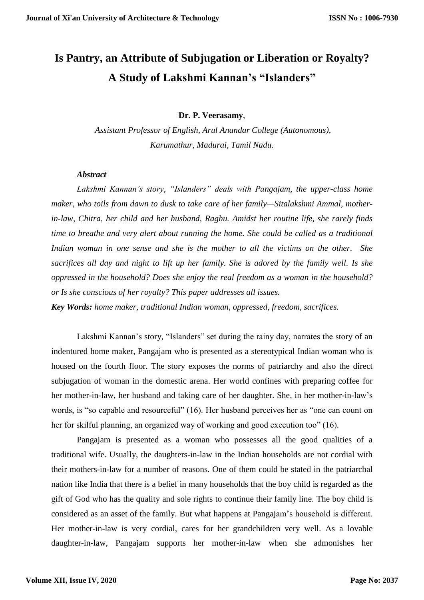## **Is Pantry, an Attribute of Subjugation or Liberation or Royalty? A Study of Lakshmi Kannan's "Islanders"**

**Dr. P. Veerasamy**,

*Assistant Professor of English, Arul Anandar College (Autonomous), Karumathur, Madurai, Tamil Nadu.*

## *Abstract*

*Lakshmi Kannan's story, "Islanders" deals with Pangajam, the upper-class home maker, who toils from dawn to dusk to take care of her family—Sitalakshmi Ammal, motherin-law, Chitra, her child and her husband, Raghu. Amidst her routine life, she rarely finds time to breathe and very alert about running the home. She could be called as a traditional Indian woman in one sense and she is the mother to all the victims on the other. She sacrifices all day and night to lift up her family. She is adored by the family well. Is she oppressed in the household? Does she enjoy the real freedom as a woman in the household? or Is she conscious of her royalty? This paper addresses all issues.* 

*Key Words: home maker, traditional Indian woman, oppressed, freedom, sacrifices.* 

Lakshmi Kannan's story, "Islanders" set during the rainy day, narrates the story of an indentured home maker, Pangajam who is presented as a stereotypical Indian woman who is housed on the fourth floor. The story exposes the norms of patriarchy and also the direct subjugation of woman in the domestic arena. Her world confines with preparing coffee for her mother-in-law, her husband and taking care of her daughter. She, in her mother-in-law's words, is "so capable and resourceful" (16). Her husband perceives her as "one can count on her for skilful planning, an organized way of working and good execution too" (16).

Pangajam is presented as a woman who possesses all the good qualities of a traditional wife. Usually, the daughters-in-law in the Indian households are not cordial with their mothers-in-law for a number of reasons. One of them could be stated in the patriarchal nation like India that there is a belief in many households that the boy child is regarded as the gift of God who has the quality and sole rights to continue their family line. The boy child is considered as an asset of the family. But what happens at Pangajam's household is different. Her mother-in-law is very cordial, cares for her grandchildren very well. As a lovable daughter-in-law, Pangajam supports her mother-in-law when she admonishes her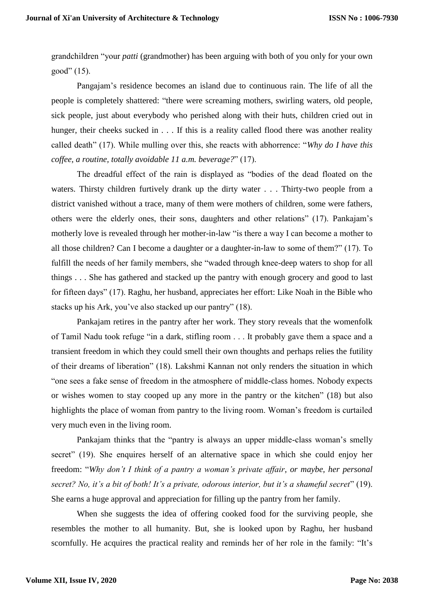grandchildren "your *patti* (grandmother) has been arguing with both of you only for your own good"  $(15)$ .

Pangajam's residence becomes an island due to continuous rain. The life of all the people is completely shattered: "there were screaming mothers, swirling waters, old people, sick people, just about everybody who perished along with their huts, children cried out in hunger, their cheeks sucked in . . . If this is a reality called flood there was another reality called death" (17). While mulling over this, she reacts with abhorrence: "*Why do I have this coffee, a routine, totally avoidable 11 a.m. beverage?*" (17).

The dreadful effect of the rain is displayed as "bodies of the dead floated on the waters. Thirsty children furtively drank up the dirty water . . . Thirty-two people from a district vanished without a trace, many of them were mothers of children, some were fathers, others were the elderly ones, their sons, daughters and other relations" (17). Pankajam's motherly love is revealed through her mother-in-law "is there a way I can become a mother to all those children? Can I become a daughter or a daughter-in-law to some of them?" (17). To fulfill the needs of her family members, she "waded through knee-deep waters to shop for all things . . . She has gathered and stacked up the pantry with enough grocery and good to last for fifteen days" (17). Raghu, her husband, appreciates her effort: Like Noah in the Bible who stacks up his Ark, you've also stacked up our pantry" (18).

Pankajam retires in the pantry after her work. They story reveals that the womenfolk of Tamil Nadu took refuge "in a dark, stifling room . . . It probably gave them a space and a transient freedom in which they could smell their own thoughts and perhaps relies the futility of their dreams of liberation" (18). Lakshmi Kannan not only renders the situation in which "one sees a fake sense of freedom in the atmosphere of middle-class homes. Nobody expects or wishes women to stay cooped up any more in the pantry or the kitchen" (18) but also highlights the place of woman from pantry to the living room. Woman's freedom is curtailed very much even in the living room.

Pankajam thinks that the "pantry is always an upper middle-class woman's smelly secret" (19). She enquires herself of an alternative space in which she could enjoy her freedom: "*Why don't I think of a pantry a woman's private affair, or maybe, her personal secret? No, it's a bit of both! It's a private, odorous interior, but it's a shameful secret*" (19). She earns a huge approval and appreciation for filling up the pantry from her family.

When she suggests the idea of offering cooked food for the surviving people, she resembles the mother to all humanity. But, she is looked upon by Raghu, her husband scornfully. He acquires the practical reality and reminds her of her role in the family: "It's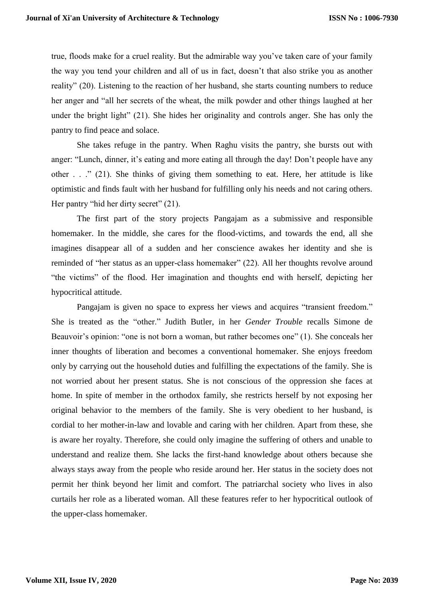true, floods make for a cruel reality. But the admirable way you've taken care of your family the way you tend your children and all of us in fact, doesn't that also strike you as another reality" (20). Listening to the reaction of her husband, she starts counting numbers to reduce her anger and "all her secrets of the wheat, the milk powder and other things laughed at her under the bright light" (21). She hides her originality and controls anger. She has only the pantry to find peace and solace.

She takes refuge in the pantry. When Raghu visits the pantry, she bursts out with anger: "Lunch, dinner, it's eating and more eating all through the day! Don't people have any other . . ." (21). She thinks of giving them something to eat. Here, her attitude is like optimistic and finds fault with her husband for fulfilling only his needs and not caring others. Her pantry "hid her dirty secret" (21).

The first part of the story projects Pangajam as a submissive and responsible homemaker. In the middle, she cares for the flood-victims, and towards the end, all she imagines disappear all of a sudden and her conscience awakes her identity and she is reminded of "her status as an upper-class homemaker" (22). All her thoughts revolve around "the victims" of the flood. Her imagination and thoughts end with herself, depicting her hypocritical attitude.

Pangajam is given no space to express her views and acquires "transient freedom." She is treated as the "other." Judith Butler, in her *Gender Trouble* recalls Simone de Beauvoir's opinion: "one is not born a woman, but rather becomes one" (1). She conceals her inner thoughts of liberation and becomes a conventional homemaker. She enjoys freedom only by carrying out the household duties and fulfilling the expectations of the family. She is not worried about her present status. She is not conscious of the oppression she faces at home. In spite of member in the orthodox family, she restricts herself by not exposing her original behavior to the members of the family. She is very obedient to her husband, is cordial to her mother-in-law and lovable and caring with her children. Apart from these, she is aware her royalty. Therefore, she could only imagine the suffering of others and unable to understand and realize them. She lacks the first-hand knowledge about others because she always stays away from the people who reside around her. Her status in the society does not permit her think beyond her limit and comfort. The patriarchal society who lives in also curtails her role as a liberated woman. All these features refer to her hypocritical outlook of the upper-class homemaker.